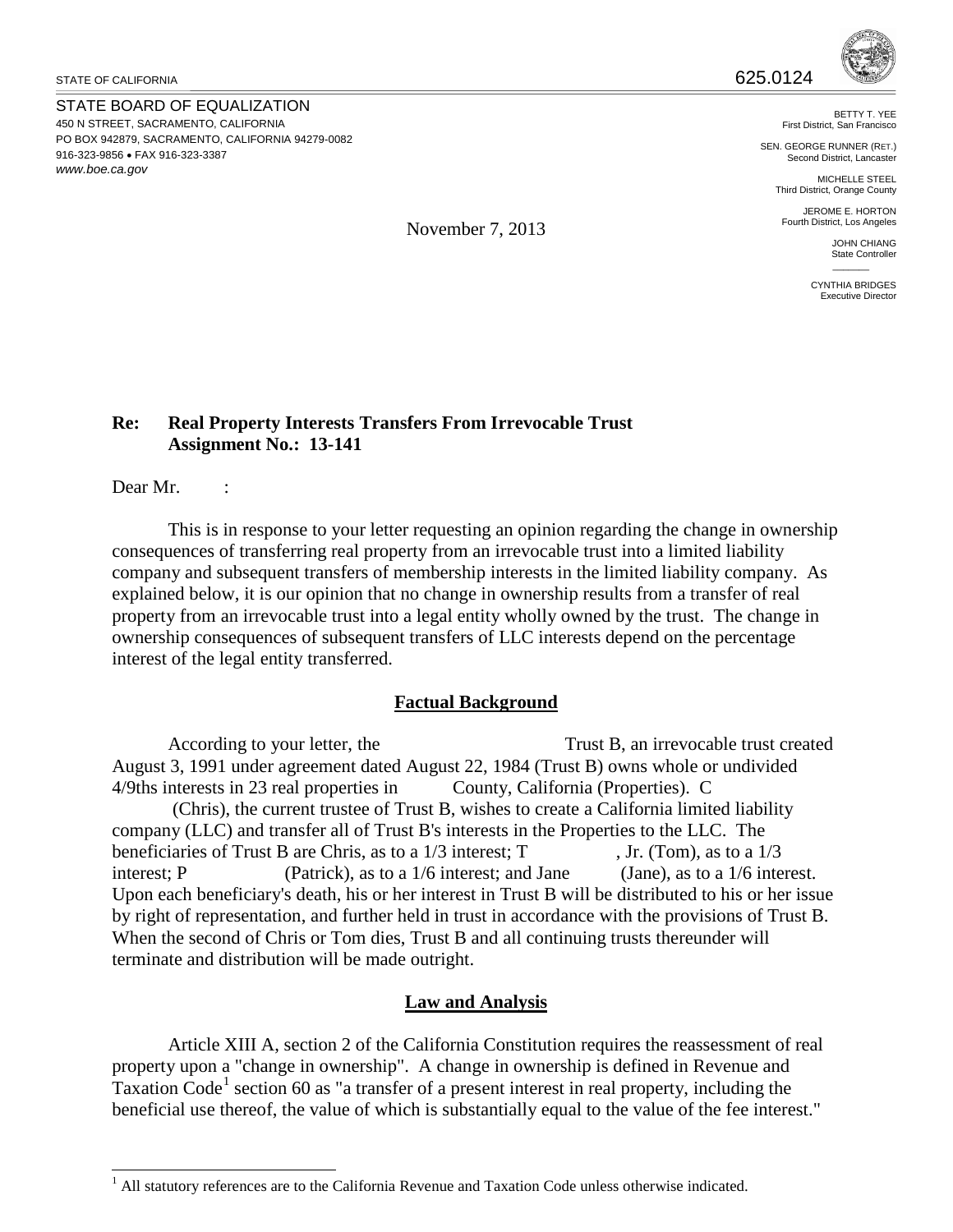STATE OF CALIFORNIA  $625.0124$ 

STATE BOARD OF EQUALIZATION 450 N STREET, SACRAMENTO, CALIFORNIA PO BOX 942879, SACRAMENTO, CALIFORNIA 94279-0082 916-323-9856 • FAX 916-323-3387 *www.boe.ca.gov*



BETTY T. YEE First District, San Francisco

SEN. GEORGE RUNNER (RET.) Second District, Lancaster

MICHELLE STEEL Third District, Orange County

JEROME E. HORTON Fourth District, Los Angeles

> JOHN CHIANG State Controller  $\mathcal{L}$

CYNTHIA BRIDGES Executive Directo

## **Re: Real Property Interests Transfers From Irrevocable Trust Assignment No.: 13-141**

Dear Mr. :

This is in response to your letter requesting an opinion regarding the change in ownership consequences of transferring real property from an irrevocable trust into a limited liability company and subsequent transfers of membership interests in the limited liability company. As explained below, it is our opinion that no change in ownership results from a transfer of real property from an irrevocable trust into a legal entity wholly owned by the trust. The change in ownership consequences of subsequent transfers of LLC interests depend on the percentage interest of the legal entity transferred.

## **Factual Background**

According to your letter, the Trust B, an irrevocable trust created August 3, 1991 under agreement dated August 22, 1984 (Trust B) owns whole or undivided 4/9ths interests in 23 real properties in County, California (Properties). C

 (Chris), the current trustee of Trust B, wishes to create a California limited liability company (LLC) and transfer all of Trust B's interests in the Properties to the LLC. The beneficiaries of Trust B are Chris, as to a  $1/3$  interest; T , Jr. (Tom), as to a  $1/3$ interest; P (Patrick), as to a 1/6 interest; and Jane (Jane), as to a 1/6 interest. Upon each beneficiary's death, his or her interest in Trust B will be distributed to his or her issue by right of representation, and further held in trust in accordance with the provisions of Trust B. When the second of Chris or Tom dies, Trust B and all continuing trusts thereunder will terminate and distribution will be made outright.

## **Law and Analysis**

Article XIII A, section 2 of the California Constitution requires the reassessment of real property upon a "change in ownership". A change in ownership is defined in Revenue and Taxation Code<sup>[1](#page-0-0)</sup> section 60 as "a transfer of a present interest in real property, including the beneficial use thereof, the value of which is substantially equal to the value of the fee interest."

November 7, 2013

<span id="page-0-0"></span> $\overline{a}$  $<sup>1</sup>$  All statutory references are to the California Revenue and Taxation Code unless otherwise indicated.</sup>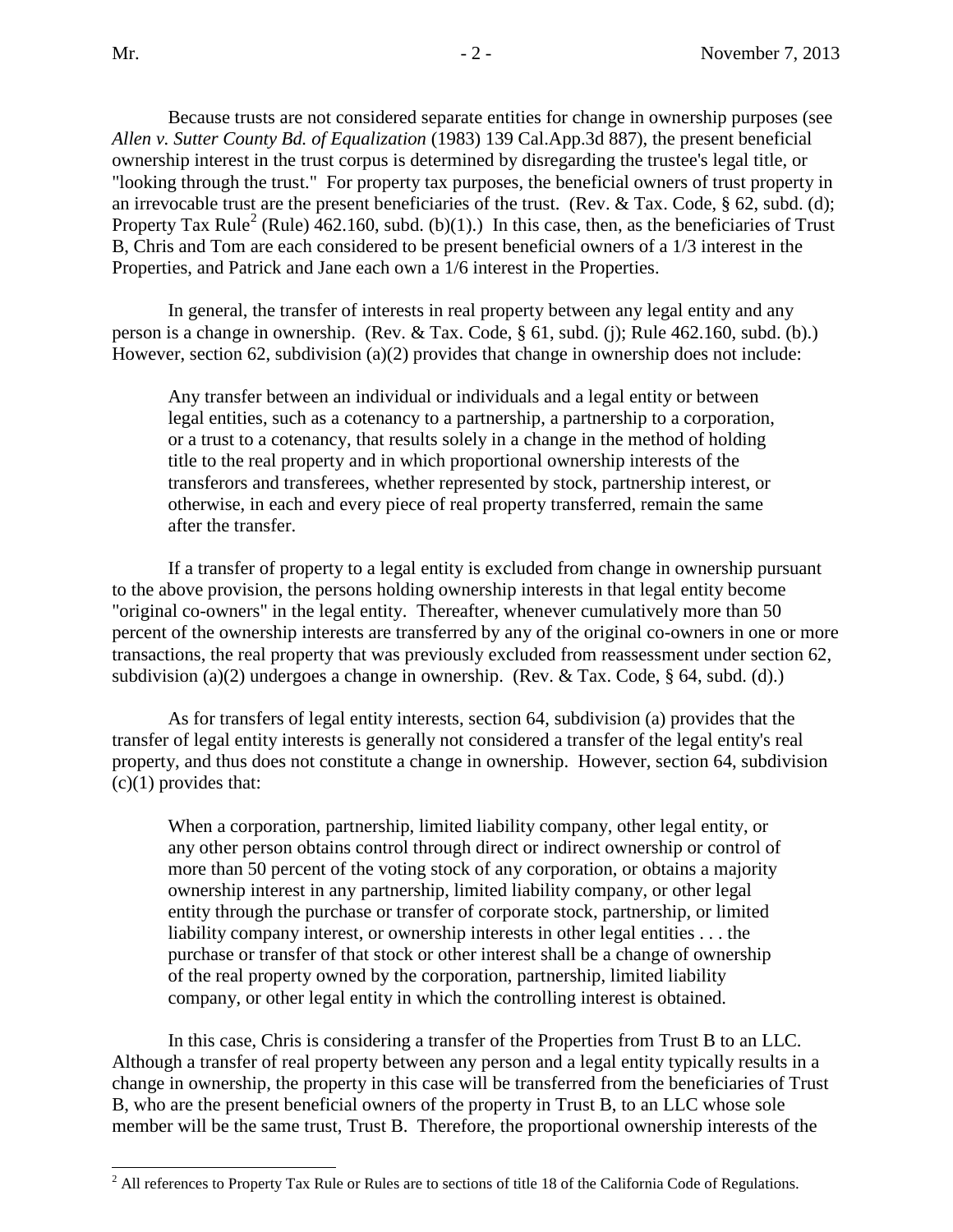Because trusts are not considered separate entities for change in ownership purposes (see *Allen v. Sutter County Bd. of Equalization* (1983) 139 Cal.App.3d 887), the present beneficial ownership interest in the trust corpus is determined by disregarding the trustee's legal title, or "looking through the trust." For property tax purposes, the beneficial owners of trust property in an irrevocable trust are the present beneficiaries of the trust. (Rev. & Tax. Code, § 62, subd. (d); Property Tax Rule<sup>[2](#page-1-0)</sup> (Rule)  $\overline{462.160}$ , subd. (b)(1).) In this case, then, as the beneficiaries of Trust B, Chris and Tom are each considered to be present beneficial owners of a 1/3 interest in the Properties, and Patrick and Jane each own a 1/6 interest in the Properties.

In general, the transfer of interests in real property between any legal entity and any person is a change in ownership. (Rev. & Tax. Code, § 61, subd. (j); Rule 462.160, subd. (b).) However, section 62, subdivision (a)(2) provides that change in ownership does not include:

Any transfer between an individual or individuals and a legal entity or between legal entities, such as a cotenancy to a partnership, a partnership to a corporation, or a trust to a cotenancy, that results solely in a change in the method of holding title to the real property and in which proportional ownership interests of the transferors and transferees, whether represented by stock, partnership interest, or otherwise, in each and every piece of real property transferred, remain the same after the transfer.

If a transfer of property to a legal entity is excluded from change in ownership pursuant to the above provision, the persons holding ownership interests in that legal entity become "original co-owners" in the legal entity. Thereafter, whenever cumulatively more than 50 percent of the ownership interests are transferred by any of the original co-owners in one or more transactions, the real property that was previously excluded from reassessment under section 62, subdivision (a)(2) undergoes a change in ownership. (Rev. & Tax. Code,  $\S$  64, subd. (d).)

As for transfers of legal entity interests, section 64, subdivision (a) provides that the transfer of legal entity interests is generally not considered a transfer of the legal entity's real property, and thus does not constitute a change in ownership. However, section 64, subdivision  $(c)(1)$  provides that:

When a corporation, partnership, limited liability company, other legal entity, or any other person obtains control through direct or indirect ownership or control of more than 50 percent of the voting stock of any corporation, or obtains a majority ownership interest in any partnership, limited liability company, or other legal entity through the purchase or transfer of corporate stock, partnership, or limited liability company interest, or ownership interests in other legal entities . . . the purchase or transfer of that stock or other interest shall be a change of ownership of the real property owned by the corporation, partnership, limited liability company, or other legal entity in which the controlling interest is obtained.

 In this case, Chris is considering a transfer of the Properties from Trust B to an LLC. Although a transfer of real property between any person and a legal entity typically results in a change in ownership, the property in this case will be transferred from the beneficiaries of Trust B, who are the present beneficial owners of the property in Trust B, to an LLC whose sole member will be the same trust, Trust B. Therefore, the proportional ownership interests of the

<span id="page-1-0"></span> $\overline{a}$  $2^2$  All references to Property Tax Rule or Rules are to sections of title 18 of the California Code of Regulations.